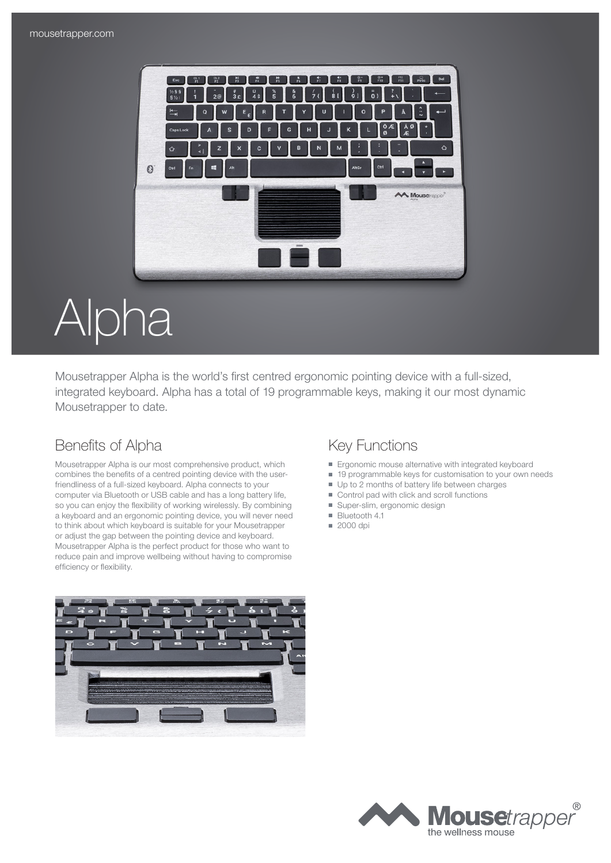

# Alpha

Mousetrapper Alpha is the world's first centred ergonomic pointing device with a full-sized, integrated keyboard. Alpha has a total of 19 programmable keys, making it our most dynamic Mousetrapper to date.

### Benefits of Alpha Key Functions

Mousetrapper Alpha is our most comprehensive product, which combines the benefits of a centred pointing device with the userfriendliness of a full-sized keyboard. Alpha connects to your computer via Bluetooth or USB cable and has a long battery life, so you can enjoy the flexibility of working wirelessly. By combining a keyboard and an ergonomic pointing device, you will never need to think about which keyboard is suitable for your Mousetrapper or adjust the gap between the pointing device and keyboard. Mousetrapper Alpha is the perfect product for those who want to reduce pain and improve wellbeing without having to compromise efficiency or flexibility.



- Ergonomic mouse alternative with integrated keyboard
- 19 programmable keys for customisation to your own needs
- Up to 2 months of battery life between charges
- Control pad with click and scroll functions
- Super-slim, ergonomic design
- Bluetooth 4.1
- 2000 dpi